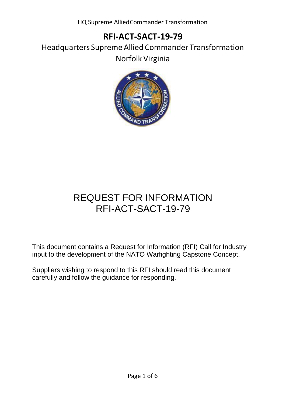HQ Supreme AlliedCommander Transformation

## **RFI-ACT-SACT-19-79**

Headquarters Supreme Allied Commander Transformation Norfolk Virginia



# REQUEST FOR INFORMATION RFI-ACT-SACT-19-79

This document contains a Request for Information (RFI) Call for Industry input to the development of the NATO Warfighting Capstone Concept.

Suppliers wishing to respond to this RFI should read this document carefully and follow the guidance for responding.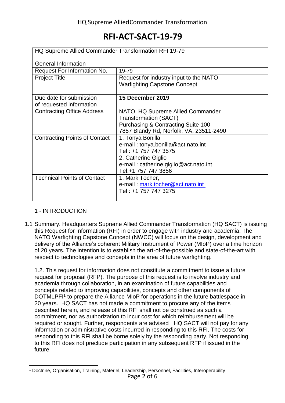| HQ Supreme Allied Commander Transformation RFI 19-79 |                                                                                                                                                                       |
|------------------------------------------------------|-----------------------------------------------------------------------------------------------------------------------------------------------------------------------|
| <b>General Information</b>                           |                                                                                                                                                                       |
| Request For Information No.                          | 19-79                                                                                                                                                                 |
| <b>Project Title</b>                                 | Request for industry input to the NATO<br><b>Warfighting Capstone Concept</b>                                                                                         |
| Due date for submission<br>of requested information  | 15 December 2019                                                                                                                                                      |
| <b>Contracting Office Address</b>                    | NATO, HQ Supreme Allied Commander<br><b>Transformation (SACT)</b><br><b>Purchasing &amp; Contracting Suite 100</b><br>7857 Blandy Rd, Norfolk, VA, 23511-2490         |
| <b>Contracting Points of Contact</b>                 | 1. Tonya Bonilla<br>e-mail: tonya.bonilla@act.nato.int<br>Tel: +1 757 747 3575<br>2. Catherine Giglio<br>e-mail: catherine.giglio@act.nato.int<br>Tel:+1 757 747 3856 |
| <b>Technical Points of Contact</b>                   | 1. Mark Tocher,<br>e-mail: mark.tocher@act.nato.int<br>Tel: +1 757 747 3275                                                                                           |

### **1** - INTRODUCTION

1.1 Summary. Headquarters Supreme Allied Commander Transformation (HQ SACT) is issuing this Request for Information (RFI) in order to engage with industry and academia. The NATO Warfighting Capstone Concept (NWCC) will focus on the design, development and delivery of the Alliance's coherent Military Instrument of Power (MIoP) over a time horizon of 20 years. The intention is to establish the art-of-the-possible and state-of-the-art with respect to technologies and concepts in the area of future warfighting.

1.2. This request for information does not constitute a commitment to issue a future request for proposal (RFP). The purpose of this request is to involve industry and academia through collaboration, in an examination of future capabilities and concepts related to improving capabilities, concepts and other components of DOTMLPFI<sup>1</sup> to prepare the Alliance MIoP for operations in the future battlespace in 20 years. HQ SACT has not made a commitment to procure any of the items described herein, and release of this RFI shall not be construed as such a commitment, nor as authorization to incur cost for which reimbursement will be required or sought. Further, respondents are advised HQ SACT will not pay for any information or administrative costs incurred in responding to this RFI. The costs for responding to this RFI shall be borne solely by the responding party. Not responding to this RFI does not preclude participation in any subsequent RFP if issued in the future.

Page 2 of 6 <sup>1</sup> Doctrine, Organisation, Training, Materiel, Leadership, Personnel, Facilities, Interoperability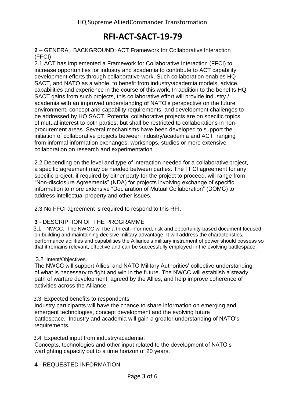**2** – GENERAL BACKGROUND: ACT Framework for Collaborative Interaction (FFCI)

2.1 ACT has implemented a Framework for Collaborative Interaction (FFCI) to increase opportunities for industry and academia to contribute to ACT capability development efforts through collaborative work. Such collaboration enables HQ SACT, and NATO as a whole, to benefit from industry/academia models, advice, capabilities and experience in the course of this work. In addition to the benefits HQ SACT gains from such projects, this collaborative effort will provide industry / academia with an improved understanding of NATO's perspective on the future environment, concept and capability requirements, and development challenges to be addressed by HQ SACT. Potential collaborative projects are on specific topics of mutual interest to both parties, but shall be restricted to collaborations in nonprocurement areas. Several mechanisms have been developed to support the initiation of collaborative projects between industry/academia and ACT, ranging from informal information exchanges, workshops, studies or more extensive collaboration on research and experimentation.

2.2 Depending on the level and type of interaction needed for a collaborative project, a specific agreement may be needed between parties. The FFCI agreement for any specific project, if required by either party for the project to proceed, will range from "Non-disclosure Agreements" (NDA) for projects involving exchange of specific information to more extensive "Declaration of Mutual Collaboration" (DOMC) to address intellectual property and other issues.

2.3 No FFCI agreement is required to respond to this RFI.

#### **3** - DESCRIPTION OF THE PROGRAMME

3.1 NWCC. The NWCC will be a threat-informed, risk and opportunity-based document focused on building and maintaining decisive military advantage. It will address the characteristics, performance abilities and capabilities the Alliance's military instrument of power should possess so that it remains relevant, effective and can be successfully employed in the evolving battlespace.

#### 3.2 Intent/Objectives.

The NWCC will support Allies' and NATO Military Authorities' collective understanding of what is necessary to fight and win in the future. The NWCC will establish a steady path of warfare development, agreed by the Allies, and help improve coherence of activities across the Alliance.

#### 3.3 Expected benefits to respondents

Industry participants will have the chance to share information on emerging and emergent technologies, concept development and the evolving future battlespace. Industry and academia will gain a greater understanding of NATO's requirements.

#### 3.4 Expected input from industry/academia.

Concepts, technologies and other input related to the development of NATO's warfighting capacity out to a time horizon of 20 years.

**4** - REQUESTED INFORMATION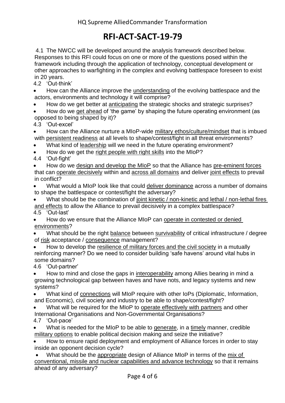4.1 The NWCC will be developed around the analysis framework described below. Responses to this RFI could focus on one or more of the questions posed within the framework including through the application of technology, conceptual development or other approaches to warfighting in the complex and evolving battlespace foreseen to exist in 20 years.

4.2 'Out-think'

 How can the Alliance improve the understanding of the evolving battlespace and the actors, environments and technology it will comprise?

How do we get better at anticipating the strategic shocks and strategic surprises?

 How do we get ahead of 'the game' by shaping the future operating environment (as opposed to being shaped by it)?

4.3 'Out-excel'

 How can the Alliance nurture a MIoP-wide military ethos/culture/mindset that is imbued with persistent readiness at all levels to shape/contest/fight in all threat environments?

What kind of leadership will we need in the future operating environment?

How do we get the right people with right skills into the MIoP?

4.4 'Out-fight'

 How do we design and develop the MIoP so that the Alliance has pre-eminent forces that can operate decisively within and across all domains and deliver joint effects to prevail in conflict?

 What would a MIoP look like that could deliver dominance across a number of domains to shape the battlespace or contest/fight the adversary?

What should be the combination of joint kinetic / non-kinetic and lethal / non-lethal fires and effects to allow the Alliance to prevail decisively in a complex battlespace? 4.5 'Out-last'

 How do we ensure that the Alliance MIoP can operate in contested or denied environments?

 What should be the right balance between survivability of critical infrastructure / degree of risk acceptance / consequence management?

How to develop the resilience of military forces and the civil society in a mutually reinforcing manner? Do we need to consider building 'safe havens' around vital hubs in some domains?

4.6 'Out-partner'

How to mind and close the gaps in interoperability among Allies bearing in mind a growing technological gap between haves and have nots, and legacy systems and new systems?

 What kind of connections will MIoP require with other IoPs (Diplomatic, Information, and Economic), civil society and industry to be able to shape/contest/fight?

- What will be required for the MIoP to operate effectively with partners and other International Organisations and Non-Governmental Organisations?
- 4.7 'Out-pace'

 What is needed for the MIoP to be able to generate, in a timely manner, credible military options to enable political decision making and seize the initiative?

 How to ensure rapid deployment and employment of Alliance forces in order to stay inside an opponent decision cycle?

 What should be the appropriate design of Alliance MIoP in terms of the mix of conventional, missile and nuclear capabilities and advance technology so that it remains ahead of any adversary?